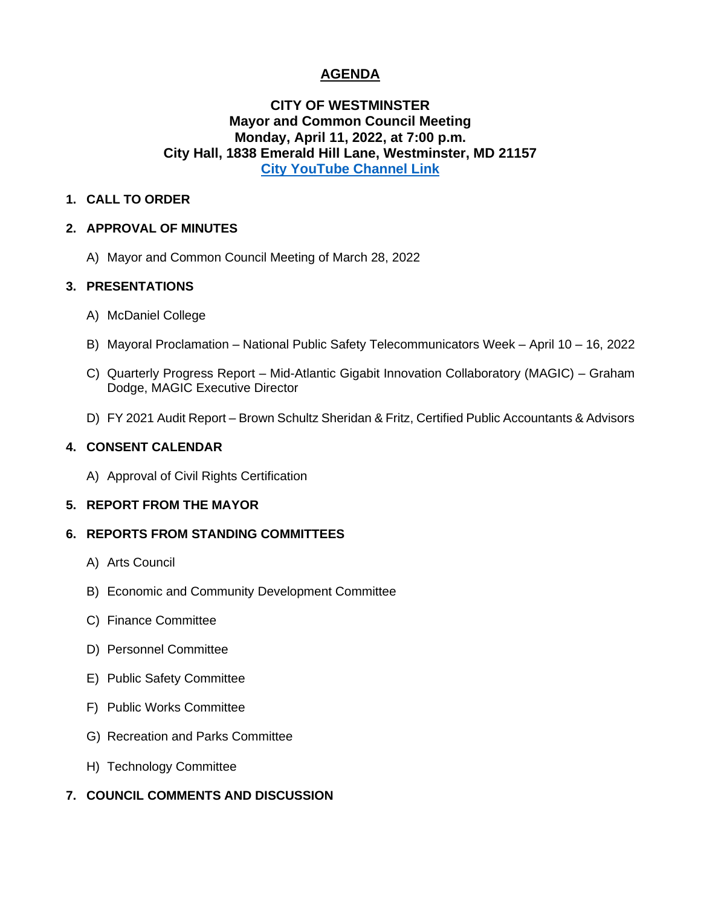# **AGENDA**

# **CITY OF WESTMINSTER Mayor and Common Council Meeting Monday, April 11, 2022, at 7:00 p.m. City Hall, 1838 Emerald Hill Lane, Westminster, MD 21157 [City YouTube Channel Link](https://www.youtube.com/channel/UCnaLV8N68x1twYyjn95_TrQ)**

## **1. CALL TO ORDER**

## **2. APPROVAL OF MINUTES**

A) Mayor and Common Council Meeting of March 28, 2022

## **3. PRESENTATIONS**

- A) McDaniel College
- B) Mayoral Proclamation National Public Safety Telecommunicators Week April 10 16, 2022
- C) Quarterly Progress Report Mid-Atlantic Gigabit Innovation Collaboratory (MAGIC) Graham Dodge, MAGIC Executive Director
- D) FY 2021 Audit Report Brown Schultz Sheridan & Fritz, Certified Public Accountants & Advisors

# **4. CONSENT CALENDAR**

A) Approval of Civil Rights Certification

# **5. REPORT FROM THE MAYOR**

### **6. REPORTS FROM STANDING COMMITTEES**

- A) Arts Council
- B) Economic and Community Development Committee
- C) Finance Committee
- D) Personnel Committee
- E) Public Safety Committee
- F) Public Works Committee
- G) Recreation and Parks Committee
- H) Technology Committee
- **7. COUNCIL COMMENTS AND DISCUSSION**